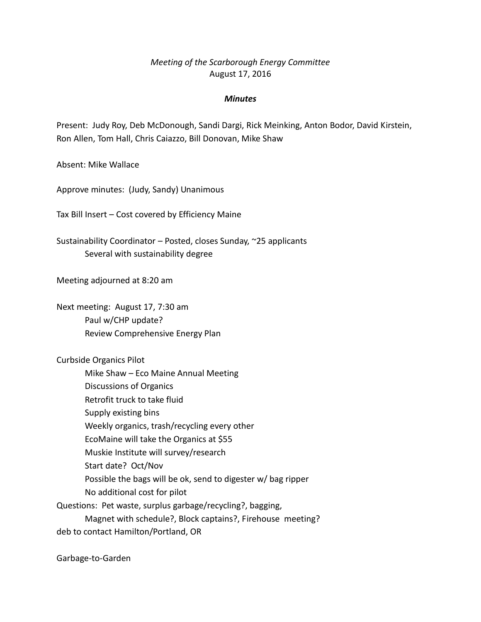# *Meeting of the Scarborough Energy Committee* August 17, 2016

## *Minutes*

Present: Judy Roy, Deb McDonough, Sandi Dargi, Rick Meinking, Anton Bodor, David Kirstein, Ron Allen, Tom Hall, Chris Caiazzo, Bill Donovan, Mike Shaw

Absent: Mike Wallace

Approve minutes: (Judy, Sandy) Unanimous

Tax Bill Insert – Cost covered by Efficiency Maine

Sustainability Coordinator – Posted, closes Sunday, ~25 applicants Several with sustainability degree

Meeting adjourned at 8:20 am

Next meeting: August 17, 7:30 am Paul w/CHP update? Review Comprehensive Energy Plan

Curbside Organics Pilot

Mike Shaw – Eco Maine Annual Meeting

Discussions of Organics

Retrofit truck to take fluid

Supply existing bins

Weekly organics, trash/recycling every other

EcoMaine will take the Organics at \$55

Muskie Institute will survey/research

Start date? Oct/Nov

Possible the bags will be ok, send to digester w/ bag ripper

No additional cost for pilot

Questions: Pet waste, surplus garbage/recycling?, bagging,

Magnet with schedule?, Block captains?, Firehouse meeting?

deb to contact Hamilton/Portland, OR

Garbage-to-Garden